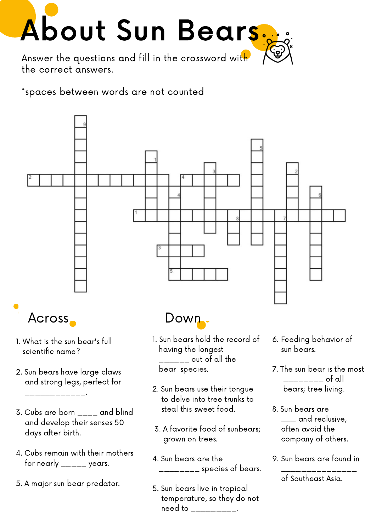

the correct answers.

\*spaces between words are not counted



- 3. Cubs are born \_\_\_\_ and blind and develop their senses 50 days after birth.
- 4. Cubs remain with their mothers for nearly  $\frac{1}{2}$  years.
- 5. A major sun bear predator.
- steal this sweet food.
- 3. A favorite food of sunbears; grown on trees.
- 4. Sun bears are the \_\_\_\_\_\_\_\_ species of bears.
- 5. Sun bears live in tropical temperature, so they do not need to \_\_\_\_\_\_\_\_\_\_.
- 
- 7. The sun bear is the most
- 8. Sun bears are  $\frac{1}{2}$  and reclusive, often avoid the company of others.
- 9. Sun bears are found in \_\_\_\_\_\_\_\_\_\_\_\_\_\_\_

of Southeast Asia.